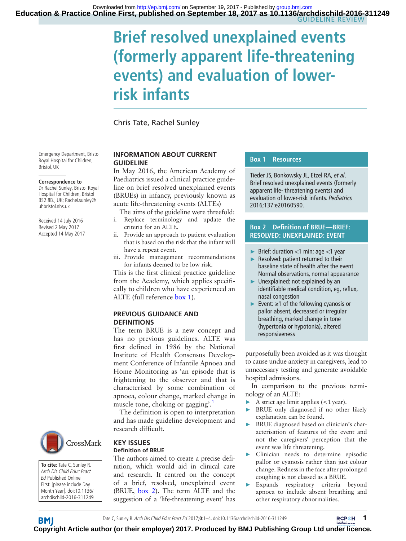Guideline review **Education & Practice Online First, published on September 18, 2017 as 10.1136/archdischild-2016-311249** Downloaded from<http://ep.bmj.com/>on September 19, 2017 - Published by [group.bmj.com](http://group.bmj.com)

# **Brief resolved unexplained events (formerly apparent life-threatening events) and evaluation of lowerrisk infants**

Chris Tate, Rachel Sunley

Emergency Department, Bristol Royal Hospital for Children, Bristol, UK

#### **Correspondence to**

Dr Rachel Sunley, Bristol Royal Hospital for Children, Bristol BS2 8BJ, UK; Rachel.sunley@ uhbristol.nhs.uk

Received 14 July 2016 Revised 2 May 2017 Accepted 14 May 2017



**To cite:** Tate C, Sunley R. Arch Dis Child Educ Pract Ed Published Online First: [please include Day Month Year]. doi:10.1136/ archdischild-2016-311249

**BMI** 

## **Information about current guideline**

In May 2016, the American Academy of Paediatrics issued a clinical practice guideline on brief resolved unexplained events (BRUEs) in infancy, previously known as acute life-threatening events (ALTEs)

The aims of the guideline were threefold: i. Replace terminology and update the criteria for an ALTE.

- ii. Provide an approach to patient evaluation that is based on the risk that the infant will have a repeat event.
- iii. Provide management recommendations for infants deemed to be low risk.

This is the first clinical practice guideline from the Academy, which applies specifically to children who have experienced an ALTE (full reference [box](#page-0-0) 1).

## **Previous guidance and definitions**

The term BRUE is a new concept and has no previous guidelines. ALTE was first defined in 1986 by the National Institute of Health Consensus Development Conference of Infantile Apnoea and Home Monitoring as 'an episode that is frightening to the observer and that is characterised by some combination of apnoea, colour change, marked change in muscle tone, choking or gagging'.<sup>[1](#page-3-0)</sup>

The definition is open to interpretation and has made guideline development and research difficult.

#### **Key issues Definition of BRUE**

The authors aimed to create a precise definition, which would aid in clinical care and research. It centred on the concept of a brief, resolved, unexplained event (BRUE, [box](#page-0-1) 2). The term ALTE and the suggestion of a 'life-threatening event' has

## **Box 1 Resources**

<span id="page-0-0"></span>Tieder JS, Bonkowsky JL, Etzel RA, *et al*. Brief resolved unexplained events (formerly apparent life- threatening events) and evaluation of lower-risk infants. *Pediatrics* 2016;137:e20160590.

## **Box 2 Definition of BRUE—BRIEF: RESOLVED: UNEXPLAINED: EVENT**

- <span id="page-0-1"></span>► Brief: duration <1 min; age <1 year
- ► Resolved: patient returned to their baseline state of health after the event Normal observations, normal appearance
- ► Unexplained: not explained by an identifiable medical condition, eg, reflux, nasal congestion
- ► Event: ≥1 of the following cyanosis or pallor absent, decreased or irregular breathing, marked change in tone (hypertonia or hypotonia), altered responsiveness

purposefully been avoided as it was thought to cause undue anxiety in caregivers, lead to unnecessary testing and generate avoidable hospital admissions.

In comparison to the previous terminology of an ALTE:

- A strict age limit applies  $($  < 1 year).
- ► BRUE only diagnosed if no other likely explanation can be found.
- ► BRUE diagnosed based on clinician's characterisation of features of the event and not the caregivers' perception that the event was life threatening.
- ► Clinician needs to determine episodic pallor or cyanosis rather than just colour change. Redness in the face after prolonged coughing is not classed as a BRUE.
- ► Expands respiratory criteria beyond apnoea to include absent breathing and other respiratory abnormalities.

**[Copyri](http://ep.bmj.com/)ght Article author (or their employer) 2017. Produced by BMJ Publishing Group Ltd un[der lice](http://www.rcpch.ac.uk/)nce.**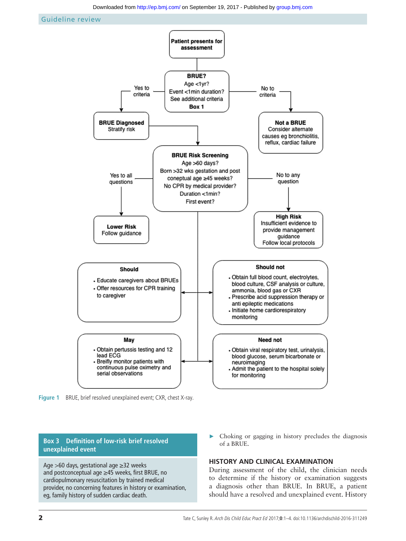

<span id="page-1-1"></span>**Figure 1** BRUE, brief resolved unexplained event; CXR, chest X-ray.

## **Box 3 Definition of low-risk brief resolved unexplained event**

<span id="page-1-0"></span>Age >60 days, gestational age ≥32 weeks and postconceptual age ≥45 weeks, first BRUE, no cardiopulmonary resuscitation by trained medical provider, no concerning features in history or examination, eg, family history of sudden cardiac death.

Choking or gagging in history precludes the diagnosis of a BRUE.

## **History and clinical examination**

During assessment of the child, the clinician needs to determine if the history or examination suggests a diagnosis other than BRUE. In BRUE, a patient should have a resolved and unexplained event. History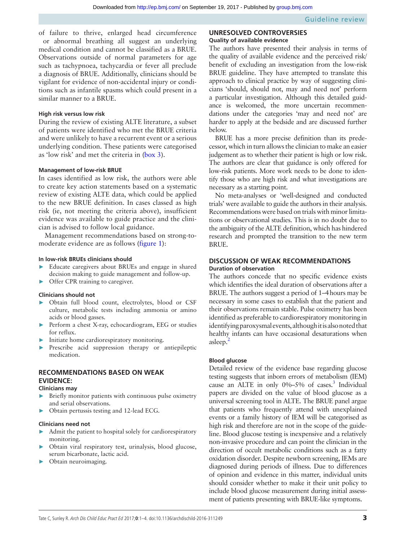of failure to thrive, enlarged head circumference or abnormal breathing all suggest an underlying medical condition and cannot be classified as a BRUE. Observations outside of normal parameters for age such as tachypnoea, tachycardia or fever all preclude a diagnosis of BRUE. Additionally, clinicians should be vigilant for evidence of non-accidental injury or conditions such as infantile spasms which could present in a similar manner to a BRUE.

#### **High risk versus low risk**

During the review of existing ALTE literature, a subset of patients were identified who met the BRUE criteria and were unlikely to have a recurrent event or a serious underlying condition. These patients were categorised as 'low risk' and met the criteria in ([box](#page-1-0) 3).

## **Management of low-risk BRUE**

In cases identified as low risk, the authors were able to create key action statements based on a systematic review of existing ALTE data, which could be applied to the new BRUE definition. In cases classed as high risk (ie, not meeting the criteria above), insufficient evidence was available to guide practice and the clinician is advised to follow local guidance.

Management recommendations based on strong-tomoderate evidence are as follows [\(figure](#page-1-1) 1):

#### **In low-risk BRUEs clinicians should**

- Educate caregivers about BRUEs and engage in shared decision making to guide management and follow-up.
- ► Offer CPR training to caregiver.

## **Clinicians should not**

- ► Obtain full blood count, electrolytes, blood or CSF culture, metabolic tests including ammonia or amino acids or blood gasses.
- ► Perform a chest X-ray, echocardiogram, EEG or studies for reflux.
- ► Initiate home cardiorespiratory monitoring.
- ► Prescribe acid suppression therapy or antiepileptic medication.

## **Recommendations based on weak evidence:**

#### **Clinicians may**

- Briefly monitor patients with continuous pulse oximetry and serial observations.
- ► Obtain pertussis testing and 12-lead ECG.

#### **Clinicians need not**

- Admit the patient to hospital solely for cardiorespiratory monitoring.
- ► Obtain viral respiratory test, urinalysis, blood glucose, serum bicarbonate, lactic acid.
- ► Obtain neuroimaging.

## **Unresolved controversies Quality of available evidence**

The authors have presented their analysis in terms of the quality of available evidence and the perceived risk/ benefit of excluding an investigation from the low-risk BRUE guideline. They have attempted to translate this approach to clinical practice by way of suggesting clinicians 'should, should not, may and need not' perform a particular investigation. Although this detailed guidance is welcomed, the more uncertain recommendations under the categories 'may and need not' are harder to apply at the bedside and are discussed further below.

BRUE has a more precise definition than its predecessor, which in turn allows the clinician to make an easier judgement as to whether their patient is high or low risk. The authors are clear that guidance is only offered for low-risk patients. More work needs to be done to identify those who are high risk and what investigations are necessary as a starting point.

No meta-analyses or 'well-designed and conducted trials' were available to guide the authors in their analysis. Recommendations were based on trials with minor limitations or observational studies. This is in no doubt due to the ambiguity of the ALTE definition, which has hindered research and prompted the transition to the new term BRUE.

## **Discussion of weak recommendations Duration of observation**

The authors concede that no specific evidence exists which identifies the ideal duration of observations after a BRUE. The authors suggest a period of 1–4hours may be necessary in some cases to establish that the patient and their observations remain stable. Pulse oximetry has been identified as preferable to cardiorespiratory monitoring in identifying paroxysmal events, although it is also noted that healthy infants can have occasional desaturations when asleep.<sup>2</sup>

#### **Blood glucose**

Detailed review of the evidence base regarding glucose testing suggests that inborn errors of metabolism (IEM) cause an ALTE in only  $0\% - 5\%$  of cases.<sup>3</sup> Individual papers are divided on the value of blood glucose as a universal screening tool in ALTE. The BRUE panel argue that patients who frequently attend with unexplained events or a family history of IEM will be categorised as high risk and therefore are not in the scope of the guideline. Blood glucose testing is inexpensive and a relatively non-invasive procedure and can point the clinician in the direction of occult metabolic conditions such as a fatty oxidation disorder. Despite newborn screening, IEMs are diagnosed during periods of illness. Due to differences of opinion and evidence in this matter, individual units should consider whether to make it their unit policy to include blood glucose measurement during initial assessment of patients presenting with BRUE-like symptoms.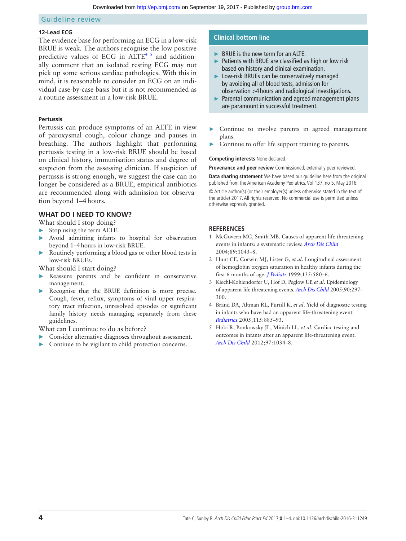Downloaded from<http://ep.bmj.com/>on September 19, 2017 - Published by [group.bmj.com](http://group.bmj.com)

## Guideline review

## **12-Lead ECG**

The evidence base for performing an ECG in a low-risk BRUE is weak. The authors recognise the low positive predictive values of ECG in  $ALTE<sup>4.5</sup>$  and additionally comment that an isolated resting ECG may not pick up some serious cardiac pathologies. With this in mind, it is reasonable to consider an ECG on an individual case-by-case basis but it is not recommended as a routine assessment in a low-risk BRUE.

## **Pertussis**

Pertussis can produce symptoms of an ALTE in view of paroxysmal cough, colour change and pauses in breathing. The authors highlight that performing pertussis testing in a low-risk BRUE should be based on clinical history, immunisation status and degree of suspicion from the assessing clinician. If suspicion of pertussis is strong enough, we suggest the case can no longer be considered as a BRUE, empirical antibiotics are recommended along with admission for observation beyond 1–4hours.

## **What do I need to know?**

What should I stop doing?

- Stop using the term ALTE.
- ► Avoid admitting infants to hospital for observation beyond 1–4hours in low-risk BRUE.
- ► Routinely performing a blood gas or other blood tests in low-risk BRUEs.

What should I start doing?

- Reassure parents and be confident in conservative management.
- ► Recognise that the BRUE definition is more precise. Cough, fever, reflux, symptoms of viral upper respiratory tract infection, unresolved episodes or significant family history needs managing separately from these guidelines.

What can I continue to do as before?

- Consider alternative diagnoses throughout assessment.
- Continue to be vigilant to child protection concerns.

## **Clinical bottom line**

- ► BRUE is the new term for an ALTE.
- Patients with BRUE are classified as high or low risk based on history and clinical examination.
- Low-risk BRUEs can be conservatively managed by avoiding all of blood tests, admission for observation >4 hours and radiological investigations.
- ► Parental communication and agreed management plans are paramount in successful treatment.
- Continue to involve parents in agreed management plans.
- Continue to offer life support training to parents.

**Competing interests** None declared.

**Provenance and peer review** Commissioned; externally peer reviewed. **Data sharing statement** We have based our guideline here from the original

published from the American Academy Pediatrics, Vol 137, no 5, May 2016.

© Article author(s) (or their employer(s) unless otherwise stated in the text of the article) 2017. All rights reserved. No commercial use is permitted unless otherwise expressly granted.

## **References**

- <span id="page-3-0"></span>1 McGovern MC, Smith MB. Causes of apparent life threatening events in infants: a systematic review. *[Arch Dis Child](http://dx.doi.org/10.1136/adc.2003.031740)* 2004;89:1043–8.
- <span id="page-3-1"></span>2 Hunt CE, Corwin MJ, Lister G, *et al*. Longitudinal assessment of hemoglobin oxygen saturation in healthy infants during the first 6 months of age. *[J Pediatr](http://dx.doi.org/10.1016/S0022-3476(99)70056-9)* 1999;135:580–6.
- <span id="page-3-2"></span>3 Kiechl-Kohlendorfer U, Hof D, Peglow UP, *et al*. Epidemiology of apparent life threatening events. *[Arch Dis Child](http://dx.doi.org/10.1136/adc.2004.049452)* 2005;90:297– 300.
- <span id="page-3-3"></span>4 Brand DA, Altman RL, Purtill K, *et al*. Yield of diagnostic testing in infants who have had an apparent life-threatening event. *[Pediatrics](http://dx.doi.org/10.1542/peds.2004-0847)* 2005;115:885–93.
- 5 Hoki R, Bonkowsky JL, Minich LL, *et al*. Cardiac testing and outcomes in infants after an apparent life-threatening event. *[Arch Dis Child](http://dx.doi.org/10.1136/archdischild-2012-301668)* 2012;97:1034–8.